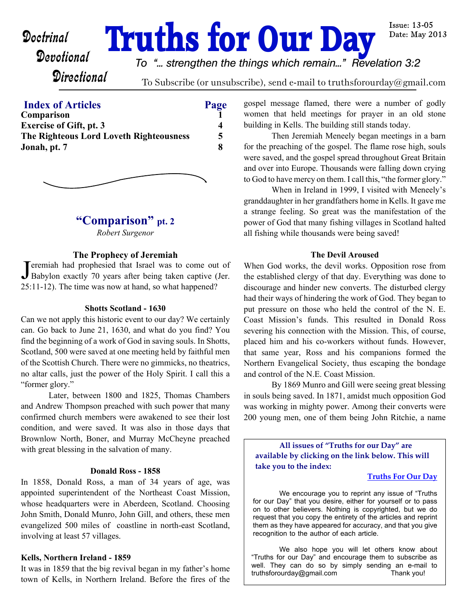# **Doctrinal Truths for Our Day**

**Issue: 13-05** Date: May 2013

## **Directional**

*To "... strengthen the things which remain..." Revelation 3:2*

To Subscribe (or unsubscribe), send e-mail to truthsforourday@gmail.com

#### **Index of Articles Page**

| Comparison<br><b>Exercise of Gift, pt. 3</b> | 4 |
|----------------------------------------------|---|
|                                              |   |
| Jonah, pt. 7                                 | 8 |
|                                              |   |



## **"Comparison" pt. 2**

*Robert Surgenor*

#### **The Prophecy of Jeremiah**

Jeremiah had prophesied that Israel was to come out of<br>Babylon exactly 70 years after being taken captive (Jer. Feremiah had prophesied that Israel was to come out of 25:11-12). The time was now at hand, so what happened?

#### **Shotts Scotland - 1630**

Can we not apply this historic event to our day? We certainly can. Go back to June 21, 1630, and what do you find? You find the beginning of a work of God in saving souls. In Shotts, Scotland, 500 were saved at one meeting held by faithful men of the Scottish Church. There were no gimmicks, no theatrics, no altar calls, just the power of the Holy Spirit. I call this a "former glory."

Later, between 1800 and 1825, Thomas Chambers and Andrew Thompson preached with such power that many confirmed church members were awakened to see their lost condition, and were saved. It was also in those days that Brownlow North, Boner, and Murray McCheyne preached with great blessing in the salvation of many.

#### **Donald Ross - 1858**

In 1858, Donald Ross, a man of 34 years of age, was appointed superintendent of the Northeast Coast Mission, whose headquarters were in Aberdeen, Scotland. Choosing John Smith, Donald Munro, John Gill, and others, these men evangelized 500 miles of coastline in north-east Scotland, involving at least 57 villages.

#### **Kells, Northern Ireland - 1859**

It was in 1859 that the big revival began in my father's home town of Kells, in Northern Ireland. Before the fires of the gospel message flamed, there were a number of godly women that held meetings for prayer in an old stone building in Kells. The building still stands today.

Then Jeremiah Meneely began meetings in a barn for the preaching of the gospel. The flame rose high, souls were saved, and the gospel spread throughout Great Britain and over into Europe. Thousands were falling down crying to God to have mercy on them. I call this, "the former glory."

When in Ireland in 1999, I visited with Meneely's granddaughter in her grandfathers home in Kells. It gave me a strange feeling. So great was the manifestation of the power of God that many fishing villages in Scotland halted all fishing while thousands were being saved!

#### **The Devil Aroused**

When God works, the devil works. Opposition rose from the established clergy of that day. Everything was done to discourage and hinder new converts. The disturbed clergy had their ways of hindering the work of God. They began to put pressure on those who held the control of the N. E. Coast Mission's funds. This resulted in Donald Ross severing his connection with the Mission. This, of course, placed him and his co-workers without funds. However, that same year, Ross and his companions formed the Northern Evangelical Society, thus escaping the bondage and control of the N.E. Coast Mission.

By 1869 Munro and Gill were seeing great blessing in souls being saved. In 1871, amidst much opposition God was working in mighty power. Among their converts were 200 young men, one of them being John Ritchie, a name

**All issues of "Truths for our Day" are available by clicking on the link below. This will take you to the index:**

#### **[Truths For Our Day](http://truthsforourday.com)**

 We encourage you to reprint any issue of "Truths for our Day" that you desire, either for yourself or to pass on to other believers. Nothing is copyrighted, but we do request that you copy the entirety of the articles and reprint them as they have appeared for accuracy, and that you give recognition to the author of each article.

We also hope you will let others know about "Truths for our Day" and encourage them to subscribe as well. They can do so by simply sending an e-mail to truthsforourday@gmail.com Thank you!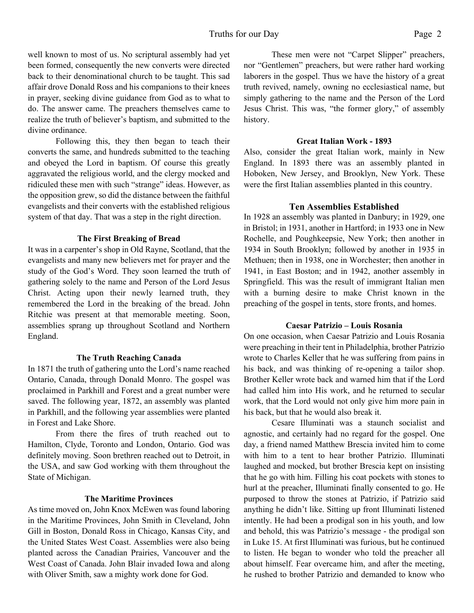well known to most of us. No scriptural assembly had yet been formed, consequently the new converts were directed back to their denominational church to be taught. This sad affair drove Donald Ross and his companions to their knees in prayer, seeking divine guidance from God as to what to do. The answer came. The preachers themselves came to realize the truth of believer's baptism, and submitted to the divine ordinance.

 Following this, they then began to teach their converts the same, and hundreds submitted to the teaching and obeyed the Lord in baptism. Of course this greatly aggravated the religious world, and the clergy mocked and ridiculed these men with such "strange" ideas. However, as the opposition grew, so did the distance between the faithful evangelists and their converts with the established religious system of that day. That was a step in the right direction.

#### **The First Breaking of Bread**

It was in a carpenter's shop in Old Rayne, Scotland, that the evangelists and many new believers met for prayer and the study of the God's Word. They soon learned the truth of gathering solely to the name and Person of the Lord Jesus Christ. Acting upon their newly learned truth, they remembered the Lord in the breaking of the bread. John Ritchie was present at that memorable meeting. Soon, assemblies sprang up throughout Scotland and Northern England.

#### **The Truth Reaching Canada**

In 1871 the truth of gathering unto the Lord's name reached Ontario, Canada, through Donald Monro. The gospel was proclaimed in Parkhill and Forest and a great number were saved. The following year, 1872, an assembly was planted in Parkhill, and the following year assemblies were planted in Forest and Lake Shore.

From there the fires of truth reached out to Hamilton, Clyde, Toronto and London, Ontario. God was definitely moving. Soon brethren reached out to Detroit, in the USA, and saw God working with them throughout the State of Michigan.

#### **The Maritime Provinces**

As time moved on, John Knox McEwen was found laboring in the Maritime Provinces, John Smith in Cleveland, John Gill in Boston, Donald Ross in Chicago, Kansas City, and the United States West Coast. Assemblies were also being planted across the Canadian Prairies, Vancouver and the West Coast of Canada. John Blair invaded Iowa and along with Oliver Smith, saw a mighty work done for God.

These men were not "Carpet Slipper" preachers, nor "Gentlemen" preachers, but were rather hard working laborers in the gospel. Thus we have the history of a great truth revived, namely, owning no ecclesiastical name, but simply gathering to the name and the Person of the Lord Jesus Christ. This was, "the former glory," of assembly history.

#### **Great Italian Work - 1893**

Also, consider the great Italian work, mainly in New England. In 1893 there was an assembly planted in Hoboken, New Jersey, and Brooklyn, New York. These were the first Italian assemblies planted in this country.

#### **Ten Assemblies Established**

In 1928 an assembly was planted in Danbury; in 1929, one in Bristol; in 1931, another in Hartford; in 1933 one in New Rochelle, and Poughkeepsie, New York; then another in 1934 in South Brooklyn; followed by another in 1935 in Methuen; then in 1938, one in Worchester; then another in 1941, in East Boston; and in 1942, another assembly in Springfield. This was the result of immigrant Italian men with a burning desire to make Christ known in the preaching of the gospel in tents, store fronts, and homes.

#### **Caesar Patrizio – Louis Rosania**

On one occasion, when Caesar Patrizio and Louis Rosania were preaching in their tent in Philadelphia, brother Patrizio wrote to Charles Keller that he was suffering from pains in his back, and was thinking of re-opening a tailor shop. Brother Keller wrote back and warned him that if the Lord had called him into His work, and he returned to secular work, that the Lord would not only give him more pain in his back, but that he would also break it.

Cesare Illuminati was a staunch socialist and agnostic, and certainly had no regard for the gospel. One day, a friend named Matthew Brescia invited him to come with him to a tent to hear brother Patrizio. Illuminati laughed and mocked, but brother Brescia kept on insisting that he go with him. Filling his coat pockets with stones to hurl at the preacher, Illuminati finally consented to go. He purposed to throw the stones at Patrizio, if Patrizio said anything he didn't like. Sitting up front Illuminati listened intently. He had been a prodigal son in his youth, and low and behold, this was Patrizio's message - the prodigal son in Luke 15. At first Illuminati was furious, but he continued to listen. He began to wonder who told the preacher all about himself. Fear overcame him, and after the meeting, he rushed to brother Patrizio and demanded to know who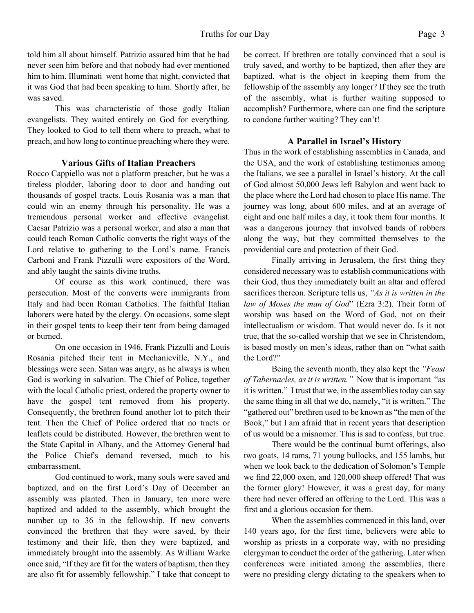told him all about himself. Patrizio assured him that he had never seen him before and that nobody had ever mentioned him to him. Illuminati went home that night, convicted that it was God that had been speaking to him. Shortly after, he was saved.

This was characteristic of those godly Italian evangelists. They waited entirely on God for everything. They looked to God to tell them where to preach, what to preach, and how long to continue preaching where they were.

#### **Various Gifts of Italian Preachers**

Rocco Cappiello was not a platform preacher, but he was a tireless plodder, laboring door to door and handing out thousands of gospel tracts. Louis Rosania was a man that could win an enemy through his personality. He was a tremendous personal worker and effective evangelist. Caesar Patrizio was a personal worker, and also a man that could teach Roman Catholic converts the right ways of the Lord relative to gathering to the Lord's name. Francis Carboni and Frank Pizzulli were expositors of the Word, and ably taught the saints divine truths.

Of course as this work continued, there was persecution. Most of the converts were immigrants from Italy and had been Roman Catholics. The faithful Italian laborers were hated by the clergy. On occasions, some slept in their gospel tents to keep their tent from being damaged or burned.

On one occasion in 1946, Frank Pizzulli and Louis Rosania pitched their tent in Mechanicville, N.Y., and blessings were seen. Satan was angry, as he always is when God is working in salvation. The Chief of Police, together with the local Catholic priest, ordered the property owner to have the gospel tent removed from his property. Consequently, the brethren found another lot to pitch their tent. Then the Chief of Police ordered that no tracts or leaflets could be distributed. However, the brethren went to the State Capital in Albany, and the Attorney General had the Police Chief's demand reversed, much to his embarrassment.

God continued to work, many souls were saved and baptized, and on the first Lord's Day of December an assembly was planted. Then in January, ten more were baptized and added to the assembly, which brought the number up to 36 in the fellowship. If new converts convinced the brethren that they were saved, by their testimony and their life, then they were baptized, and immediately brought into the assembly. As William Warke once said, "If they are fit for the waters of baptism, then they are also fit for assembly fellowship." I take that concept to be correct. If brethren are totally convinced that a soul is truly saved, and worthy to be baptized, then after they are baptized, what is the object in keeping them from the fellowship of the assembly any longer? If they see the truth of the assembly, what is further waiting supposed to accomplish? Furthermore, where can one find the scripture to condone further waiting? They can't!

#### **A Parallel in Israel's History**

Thus in the work of establishing assemblies in Canada, and the USA, and the work of establishing testimonies among the Italians, we see a parallel in Israel's history. At the call of God almost 50,000 Jews left Babylon and went back to the place where the Lord had chosen to place His name. The journey was long, about 600 miles, and at an average of eight and one half miles a day, it took them four months. It was a dangerous journey that involved bands of robbers along the way, but they committed themselves to the providential care and protection of their God.

Finally arriving in Jerusalem, the first thing they considered necessary was to establish communications with their God, thus they immediately built an altar and offered sacrifices thereon. Scripture tells us, *"As it is written in the law of Moses the man of God*" (Ezra 3:2). Their form of worship was based on the Word of God, not on their intellectualism or wisdom. That would never do. Is it not true, that the so-called worship that we see in Christendom, is based mostly on men's ideas, rather than on "what saith the Lord?"

 Being the seventh month, they also kept the *"Feast of Tabernacles, as it is written."* Now that is important "as it is written." I trust that we, in the assemblies today can say the same thing in all that we do, namely, "it is written." The "gathered out" brethren used to be known as "the men of the Book," but I am afraid that in recent years that description of us would be a misnomer. This is sad to confess, but true.

There would be the continual burnt offerings, also two goats, 14 rams, 71 young bullocks, and 155 lambs, but when we look back to the dedication of Solomon's Temple we find 22,000 oxen, and 120,000 sheep offered! That was the former glory! However, it was a great day, for many there had never offered an offering to the Lord. This was a first and a glorious occasion for them.

When the assemblies commenced in this land, over 140 years ago, for the first time, believers were able to worship as priests in a corporate way, with no presiding clergyman to conduct the order of the gathering. Later when conferences were initiated among the assemblies, there were no presiding clergy dictating to the speakers when to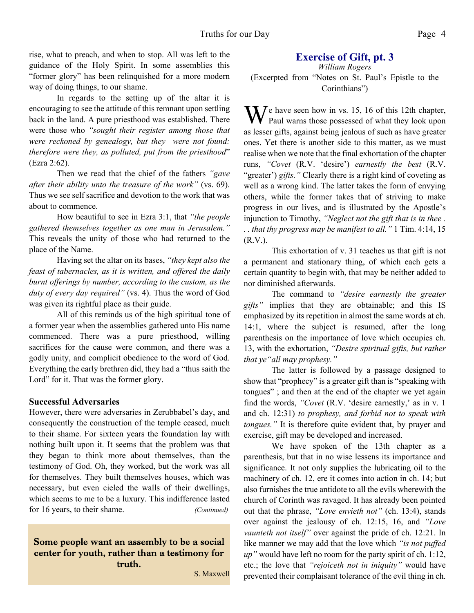rise, what to preach, and when to stop. All was left to the guidance of the Holy Spirit. In some assemblies this "former glory" has been relinquished for a more modern way of doing things, to our shame.

In regards to the setting up of the altar it is encouraging to see the attitude of this remnant upon settling back in the land. A pure priesthood was established. There were those who *"sought their register among those that were reckoned by genealogy, but they were not found: therefore were they, as polluted, put from the priesthood*" (Ezra 2:62).

Then we read that the chief of the fathers *"gave after their ability unto the treasure of the work"* (vs. 69). Thus we see self sacrifice and devotion to the work that was about to commence.

How beautiful to see in Ezra 3:1, that *"the people gathered themselves together as one man in Jerusalem."* This reveals the unity of those who had returned to the place of the Name.

Having set the altar on its bases, *"they kept also the feast of tabernacles, as it is written, and offered the daily burnt offerings by number, according to the custom, as the duty of every day required"* (vs. 4). Thus the word of God was given its rightful place as their guide.

All of this reminds us of the high spiritual tone of a former year when the assemblies gathered unto His name commenced. There was a pure priesthood, willing sacrifices for the cause were common, and there was a godly unity, and complicit obedience to the word of God. Everything the early brethren did, they had a "thus saith the Lord" for it. That was the former glory.

#### **Successful Adversaries**

However, there were adversaries in Zerubbabel's day, and consequently the construction of the temple ceased, much to their shame. For sixteen years the foundation lay with nothing built upon it. It seems that the problem was that they began to think more about themselves, than the testimony of God. Oh, they worked, but the work was all for themselves. They built themselves houses, which was necessary, but even cieled the walls of their dwellings, which seems to me to be a luxury. This indifference lasted for 16 years, to their shame. *(Continued)*

Some people want an assembly to be a social center for youth, rather than a testimony for truth.

### **Exercise of Gift, pt. 3**

*William Rogers* (Excerpted from "Notes on St. Paul's Epistle to the Corinthians")

 $\sum$  / e have seen how in vs. 15, 16 of this 12th chapter, Paul warns those possessed of what they look upon as lesser gifts, against being jealous of such as have greater ones. Yet there is another side to this matter, as we must realise when we note that the final exhortation of the chapter runs, *"Covet* (R.V. 'desire') *earnestly the best* (R.V. "greater") *gifts.*" Clearly there is a right kind of coveting as well as a wrong kind. The latter takes the form of envying others, while the former takes that of striving to make progress in our lives, and is illustrated by the Apostle's injunction to Timothy, *"Neglect not the gift that is in thee . . . that thy progress may be manifest to all."* 1 Tim. 4:14, 15  $(R.V.)$ .

This exhortation of v. 31 teaches us that gift is not a permanent and stationary thing, of which each gets a certain quantity to begin with, that may be neither added to nor diminished afterwards.

The command to *"desire earnestly the greater gifts"* implies that they are obtainable; and this IS emphasized by its repetition in almost the same words at ch. 14:1, where the subject is resumed, after the long parenthesis on the importance of love which occupies ch. 13, with the exhortation, *"Desire spiritual gifts, but rather that ye"all may prophesy."*

The latter is followed by a passage designed to show that "prophecy" is a greater gift than is "speaking with tongues" ; and then at the end of the chapter we yet again find the words, *"Covet* (R.V. 'desire earnestly,' as in v. 1 and ch. 12:31) *to prophesy, and forbid not to speak with tongues."* It is therefore quite evident that, by prayer and exercise, gift may be developed and increased.

We have spoken of the 13th chapter as a parenthesis, but that in no wise lessens its importance and significance. It not only supplies the lubricating oil to the machinery of ch. 12, ere it comes into action in ch. 14; but also furnishes the true antidote to all the evils wherewith the church of Corinth was ravaged. It has already been pointed out that the phrase, *"Love envieth not"* (ch. 13:4), stands over against the jealousy of ch. 12:15, 16, and *"Love vaunteth not itself"* over against the pride of ch. 12:21. In like manner we may add that the love which *"is not puffed up"* would have left no room for the party spirit of ch. 1:12, etc.; the love that *"rejoiceth not in iniquity"* would have S. Maxwell prevented their complaisant tolerance of the evil thing in ch.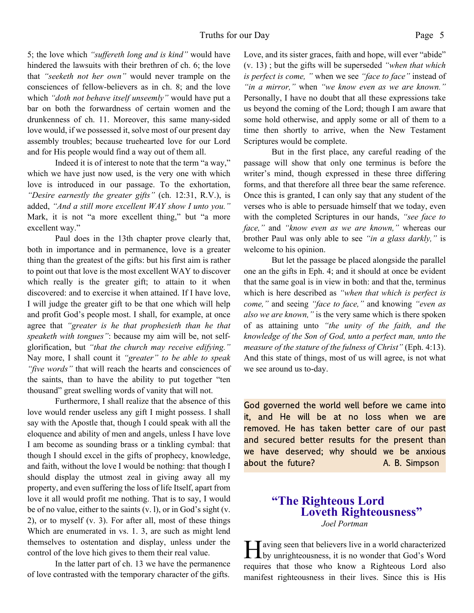5; the love which *"suffereth long and is kind"* would have hindered the lawsuits with their brethren of ch. 6; the love that *"seeketh not her own"* would never trample on the consciences of fellow-believers as in ch. 8; and the love which *"doth not behave itself unseemly"* would have put a bar on both the forwardness of certain women and the drunkenness of ch. 11. Moreover, this same many-sided love would, if we possessed it, solve most of our present day assembly troubles; because truehearted love for our Lord and for His people would find a way out of them all.

Indeed it is of interest to note that the term "a way," which we have just now used, is the very one with which love is introduced in our passage. To the exhortation, *"Desire earnestly the greater gifts"* (ch. 12:31, R.V.), is added, *"And a still more excellent WAY show I unto you."* Mark, it is not "a more excellent thing," but "a more excellent way."

Paul does in the 13th chapter prove clearly that, both in importance and in permanence, love is a greater thing than the greatest of the gifts: but his first aim is rather to point out that love is the most excellent WAY to discover which really is the greater gift; to attain to it when discovered: and to exercise it when attained. If I have love, I will judge the greater gift to be that one which will help and profit God's people most. I shall, for example, at once agree that *"greater is he that prophesieth than he that speaketh with tongues"*: because my aim will be, not selfglorification, but *"that the church may receive edifying."* Nay more, I shall count it *"greater" to be able to speak "five words"* that will reach the hearts and consciences of the saints, than to have the ability to put together "ten thousand" great swelling words of vanity that will not.

Furthermore, I shall realize that the absence of this love would render useless any gift I might possess. I shall say with the Apostle that, though I could speak with all the eloquence and ability of men and angels, unless I have love I am become as sounding brass or a tinkling cymbal: that though I should excel in the gifts of prophecy, knowledge, and faith, without the love I would be nothing: that though I should display the utmost zeal in giving away all my property, and even suffering the loss of life Itself, apart from love it all would profit me nothing. That is to say, I would be of no value, either to the saints (v. l), or in God's sight (v. 2), or to myself (v. 3). For after all, most of these things Which are enumerated in vs. 1. 3, are such as might lend themselves to ostentation and display, unless under the control of the love hich gives to them their real value.

In the latter part of ch. 13 we have the permanence of love contrasted with the temporary character of the gifts.

Love, and its sister graces, faith and hope, will ever "abide" (v. 13) ; but the gifts will be superseded *"when that which is perfect is come, "* when we see *"face to face"* instead of *"in a mirror,"* when *"we know even as we are known."* Personally, I have no doubt that all these expressions take us beyond the coming of the Lord; though I am aware that some hold otherwise, and apply some or all of them to a time then shortly to arrive, when the New Testament Scriptures would be complete.

But in the first place, any careful reading of the passage will show that only one terminus is before the writer's mind, though expressed in these three differing forms, and that therefore all three bear the same reference. Once this is granted, I can only say that any student of the verses who is able to persuade himself that we today, even with the completed Scriptures in our hands, *"see face to face,"* and *"know even as we are known,"* whereas our brother Paul was only able to see *"in a glass darkly,"* is welcome to his opinion.

But let the passage be placed alongside the parallel one an the gifts in Eph. 4; and it should at once be evident that the same goal is in view in both: and that the, terminus which is here described as *"when that which is perfect is come,"* and seeing *"face to face,"* and knowing *"even as also we are known,"* is the very same which is there spoken of as attaining unto *"the unity of the faith, and the knowledge of the Son of God, unto a perfect man, unto the measure of the stature of the fulness of Christ"* (Eph. 4:13). And this state of things, most of us will agree, is not what we see around us to-day.

God governed the world well before we came into it, and He will be at no loss when we are removed. He has taken better care of our past and secured better results for the present than we have deserved; why should we be anxious about the future? A. B. Simpson

#### **"The Righteous Lord Loveth Righteousness"** *Joel Portman*

Having seen that believers live in a world characterized<br>by unrighteousness, it is no wonder that God's Word by unrighteousness, it is no wonder that God's Word requires that those who know a Righteous Lord also manifest righteousness in their lives. Since this is His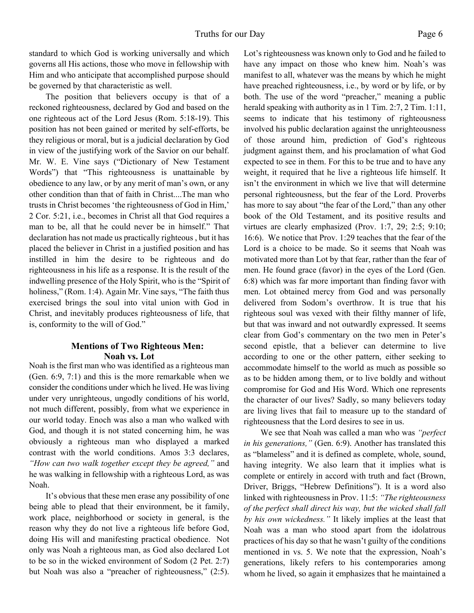standard to which God is working universally and which governs all His actions, those who move in fellowship with Him and who anticipate that accomplished purpose should be governed by that characteristic as well.

The position that believers occupy is that of a reckoned righteousness, declared by God and based on the one righteous act of the Lord Jesus (Rom. 5:18-19). This position has not been gained or merited by self-efforts, be they religious or moral, but is a judicial declaration by God in view of the justifying work of the Savior on our behalf. Mr. W. E. Vine says ("Dictionary of New Testament Words") that "This righteousness is unattainable by obedience to any law, or by any merit of man's own, or any other condition than that of faith in Christ....The man who trusts in Christ becomes 'the righteousness of God in Him,' 2 Cor. 5:21, i.e., becomes in Christ all that God requires a man to be, all that he could never be in himself." That declaration has not made us practically righteous , but it has placed the believer in Christ in a justified position and has instilled in him the desire to be righteous and do righteousness in his life as a response. It is the result of the indwelling presence of the Holy Spirit, who is the "Spirit of holiness," (Rom. 1:4). Again Mr. Vine says, "The faith thus exercised brings the soul into vital union with God in Christ, and inevitably produces righteousness of life, that is, conformity to the will of God."

#### **Mentions of Two Righteous Men: Noah vs. Lot**

Noah is the first man who was identified as a righteous man (Gen. 6:9, 7:1) and this is the more remarkable when we consider the conditions under which he lived. He was living under very unrighteous, ungodly conditions of his world, not much different, possibly, from what we experience in our world today. Enoch was also a man who walked with God, and though it is not stated concerning him, he was obviously a righteous man who displayed a marked contrast with the world conditions. Amos 3:3 declares, *"How can two walk together except they be agreed,"* and he was walking in fellowship with a righteous Lord, as was Noah.

It's obvious that these men erase any possibility of one being able to plead that their environment, be it family, work place, neighborhood or society in general, is the reason why they do not live a righteous life before God, doing His will and manifesting practical obedience. Not only was Noah a righteous man, as God also declared Lot to be so in the wicked environment of Sodom (2 Pet. 2:7) but Noah was also a "preacher of righteousness," (2:5). Lot's righteousness was known only to God and he failed to have any impact on those who knew him. Noah's was manifest to all, whatever was the means by which he might have preached righteousness, i.e., by word or by life, or by both. The use of the word "preacher," meaning a public herald speaking with authority as in 1 Tim. 2:7, 2 Tim. 1:11, seems to indicate that his testimony of righteousness involved his public declaration against the unrighteousness of those around him, prediction of God's righteous judgment against them, and his proclamation of what God expected to see in them. For this to be true and to have any weight, it required that he live a righteous life himself. It isn't the environment in which we live that will determine personal righteousness, but the fear of the Lord. Proverbs has more to say about "the fear of the Lord," than any other book of the Old Testament, and its positive results and virtues are clearly emphasized (Prov. 1:7, 29; 2:5; 9:10; 16:6). We notice that Prov. 1:29 teaches that the fear of the Lord is a choice to be made. So it seems that Noah was motivated more than Lot by that fear, rather than the fear of men. He found grace (favor) in the eyes of the Lord (Gen. 6:8) which was far more important than finding favor with men. Lot obtained mercy from God and was personally delivered from Sodom's overthrow. It is true that his righteous soul was vexed with their filthy manner of life, but that was inward and not outwardly expressed. It seems clear from God's commentary on the two men in Peter's second epistle, that a believer can determine to live according to one or the other pattern, either seeking to accommodate himself to the world as much as possible so as to be hidden among them, or to live boldly and without compromise for God and His Word. Which one represents the character of our lives? Sadly, so many believers today are living lives that fail to measure up to the standard of righteousness that the Lord desires to see in us.

We see that Noah was called a man who was *"perfect in his generations,"* (Gen. 6:9). Another has translated this as "blameless" and it is defined as complete, whole, sound, having integrity. We also learn that it implies what is complete or entirely in accord with truth and fact (Brown, Driver, Briggs, "Hebrew Definitions"). It is a word also linked with righteousness in Prov. 11:5: *"The righteousness of the perfect shall direct his way, but the wicked shall fall by his own wickedness."* It likely implies at the least that Noah was a man who stood apart from the idolatrous practices of his day so that he wasn't guilty of the conditions mentioned in vs. 5. We note that the expression, Noah's generations, likely refers to his contemporaries among whom he lived, so again it emphasizes that he maintained a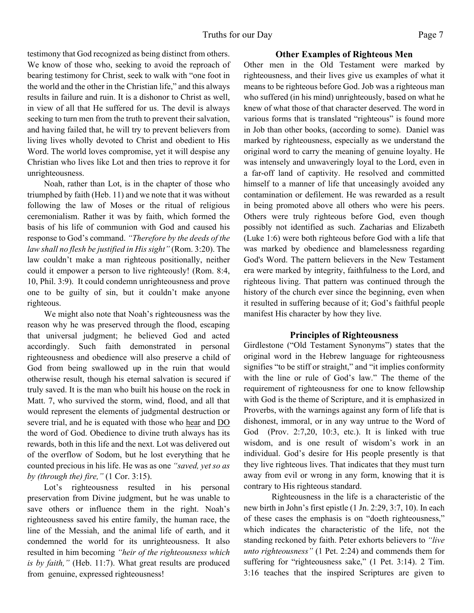testimony that God recognized as being distinct from others. We know of those who, seeking to avoid the reproach of bearing testimony for Christ, seek to walk with "one foot in the world and the other in the Christian life," and this always results in failure and ruin. It is a dishonor to Christ as well, in view of all that He suffered for us. The devil is always seeking to turn men from the truth to prevent their salvation, and having failed that, he will try to prevent believers from living lives wholly devoted to Christ and obedient to His Word. The world loves compromise, yet it will despise any Christian who lives like Lot and then tries to reprove it for unrighteousness.

Noah, rather than Lot, is in the chapter of those who triumphed by faith (Heb. 11) and we note that it was without following the law of Moses or the ritual of religious ceremonialism. Rather it was by faith, which formed the basis of his life of communion with God and caused his response to God's command. *"Therefore by the deeds of the law shall no flesh be justified in His sight"* (Rom. 3:20). The law couldn't make a man righteous positionally, neither could it empower a person to live righteously! (Rom. 8:4, 10, Phil. 3:9). It could condemn unrighteousness and prove one to be guilty of sin, but it couldn't make anyone righteous.

We might also note that Noah's righteousness was the reason why he was preserved through the flood, escaping that universal judgment; he believed God and acted accordingly. Such faith demonstrated in personal righteousness and obedience will also preserve a child of God from being swallowed up in the ruin that would otherwise result, though his eternal salvation is secured if truly saved. It is the man who built his house on the rock in Matt. 7, who survived the storm, wind, flood, and all that would represent the elements of judgmental destruction or severe trial, and he is equated with those who hear and DO the word of God. Obedience to divine truth always has its rewards, both in this life and the next. Lot was delivered out of the overflow of Sodom, but he lost everything that he counted precious in his life. He was as one *"saved, yet so as by (through the) fire,"* (1 Cor. 3:15).

Lot's righteousness resulted in his personal preservation from Divine judgment, but he was unable to save others or influence them in the right. Noah's righteousness saved his entire family, the human race, the line of the Messiah, and the animal life of earth, and it condemned the world for its unrighteousness. It also resulted in him becoming *"heir of the righteousness which is by faith,"* (Heb. 11:7). What great results are produced from genuine, expressed righteousness!

#### **Other Examples of Righteous Men**

Other men in the Old Testament were marked by righteousness, and their lives give us examples of what it means to be righteous before God. Job was a righteous man who suffered (in his mind) unrighteously, based on what he knew of what those of that character deserved. The word in various forms that is translated "righteous" is found more in Job than other books, (according to some). Daniel was marked by righteousness, especially as we understand the original word to carry the meaning of genuine loyalty. He was intensely and unwaveringly loyal to the Lord, even in a far-off land of captivity. He resolved and committed himself to a manner of life that unceasingly avoided any contamination or defilement. He was rewarded as a result in being promoted above all others who were his peers. Others were truly righteous before God, even though possibly not identified as such. Zacharias and Elizabeth (Luke 1:6) were both righteous before God with a life that was marked by obedience and blamelessness regarding God's Word. The pattern believers in the New Testament era were marked by integrity, faithfulness to the Lord, and righteous living. That pattern was continued through the history of the church ever since the beginning, even when it resulted in suffering because of it; God's faithful people manifest His character by how they live.

#### **Principles of Righteousness**

Girdlestone ("Old Testament Synonyms") states that the original word in the Hebrew language for righteousness signifies "to be stiff or straight," and "it implies conformity with the line or rule of God's law." The theme of the requirement of righteousness for one to know fellowship with God is the theme of Scripture, and it is emphasized in Proverbs, with the warnings against any form of life that is dishonest, immoral, or in any way untrue to the Word of God (Prov. 2:7,20, 10:3, etc.). It is linked with true wisdom, and is one result of wisdom's work in an individual. God's desire for His people presently is that they live righteous lives. That indicates that they must turn away from evil or wrong in any form, knowing that it is contrary to His righteous standard.

Righteousness in the life is a characteristic of the new birth in John's first epistle (1 Jn. 2:29, 3:7, 10). In each of these cases the emphasis is on "doeth righteousness," which indicates the characteristic of the life, not the standing reckoned by faith. Peter exhorts believers to *"live unto righteousness"* (1 Pet. 2:24) and commends them for suffering for "righteousness sake," (1 Pet. 3:14). 2 Tim. 3:16 teaches that the inspired Scriptures are given to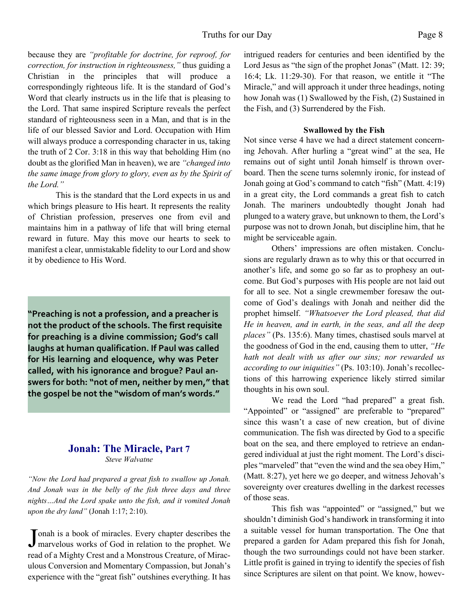because they are *"profitable for doctrine, for reproof, for correction, for instruction in righteousness,"* thus guiding a Christian in the principles that will produce a correspondingly righteous life. It is the standard of God's Word that clearly instructs us in the life that is pleasing to the Lord. That same inspired Scripture reveals the perfect standard of righteousness seen in a Man, and that is in the life of our blessed Savior and Lord. Occupation with Him will always produce a corresponding character in us, taking the truth of 2 Cor. 3:18 in this way that beholding Him (no doubt as the glorified Man in heaven), we are *"changed into the same image from glory to glory, even as by the Spirit of the Lord."*

This is the standard that the Lord expects in us and which brings pleasure to His heart. It represents the reality of Christian profession, preserves one from evil and maintains him in a pathway of life that will bring eternal reward in future. May this move our hearts to seek to manifest a clear, unmistakable fidelity to our Lord and show it by obedience to His Word.

**"Preaching is not a profession, and a preacher is not the product of the schools. The first requisite for preaching is a divine commission; God's call laughs at human qualification. If Paul was called for His learning and eloquence, why was Peter called, with his ignorance and brogue? Paul answers for both: "not of men, neither by men," that the gospel be not the "wisdom of man's words."**

#### **Jonah: The Miracle, Part 7** *Steve Walvatne*

*"Now the Lord had prepared a great fish to swallow up Jonah. And Jonah was in the belly of the fish three days and three nights…And the Lord spake unto the fish, and it vomited Jonah upon the dry land"* (Jonah 1:17; 2:10).

Jonah is a book of miracles. Every chapter describes the marvelous works of God in relation to the prophet. We onah is a book of miracles. Every chapter describes the read of a Mighty Crest and a Monstrous Creature, of Miraculous Conversion and Momentary Compassion, but Jonah's experience with the "great fish" outshines everything. It has intrigued readers for centuries and been identified by the Lord Jesus as "the sign of the prophet Jonas" (Matt. 12: 39; 16:4; Lk. 11:29-30). For that reason, we entitle it "The Miracle," and will approach it under three headings, noting how Jonah was (1) Swallowed by the Fish, (2) Sustained in the Fish, and (3) Surrendered by the Fish.

#### **Swallowed by the Fish**

Not since verse 4 have we had a direct statement concerning Jehovah. After hurling a "great wind" at the sea, He remains out of sight until Jonah himself is thrown overboard. Then the scene turns solemnly ironic, for instead of Jonah going at God's command to catch "fish" (Matt. 4:19) in a great city, the Lord commands a great fish to catch Jonah. The mariners undoubtedly thought Jonah had plunged to a watery grave, but unknown to them, the Lord's purpose was not to drown Jonah, but discipline him, that he might be serviceable again.

Others' impressions are often mistaken. Conclusions are regularly drawn as to why this or that occurred in another's life, and some go so far as to prophesy an outcome. But God's purposes with His people are not laid out for all to see. Not a single crewmember foresaw the outcome of God's dealings with Jonah and neither did the prophet himself. *"Whatsoever the Lord pleased, that did He in heaven, and in earth, in the seas, and all the deep places"* (Ps. 135:6). Many times, chastised souls marvel at the goodness of God in the end, causing them to utter, *"He hath not dealt with us after our sins; nor rewarded us according to our iniquities"* (Ps. 103:10). Jonah's recollections of this harrowing experience likely stirred similar thoughts in his own soul.

 We read the Lord "had prepared" a great fish. "Appointed" or "assigned" are preferable to "prepared" since this wasn't a case of new creation, but of divine communication. The fish was directed by God to a specific boat on the sea, and there employed to retrieve an endangered individual at just the right moment. The Lord's disciples "marveled" that "even the wind and the sea obey Him," (Matt. 8:27), yet here we go deeper, and witness Jehovah's sovereignty over creatures dwelling in the darkest recesses of those seas.

 This fish was "appointed" or "assigned," but we shouldn't diminish God's handiwork in transforming it into a suitable vessel for human transportation. The One that prepared a garden for Adam prepared this fish for Jonah, though the two surroundings could not have been starker. Little profit is gained in trying to identify the species of fish since Scriptures are silent on that point. We know, howev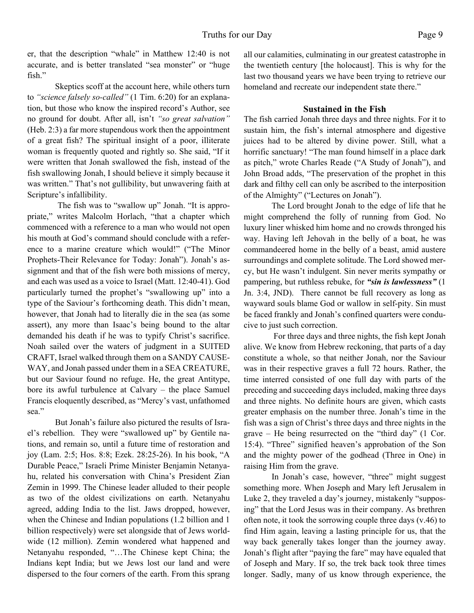er, that the description "whale" in Matthew 12:40 is not accurate, and is better translated "sea monster" or "huge fish."

Skeptics scoff at the account here, while others turn to *"science falsely so-called"* (1 Tim. 6:20) for an explanation, but those who know the inspired record's Author, see no ground for doubt. After all, isn't *"so great salvation"* (Heb. 2:3) a far more stupendous work then the appointment of a great fish? The spiritual insight of a poor, illiterate woman is frequently quoted and rightly so. She said, "If it were written that Jonah swallowed the fish, instead of the fish swallowing Jonah, I should believe it simply because it was written." That's not gullibility, but unwavering faith at Scripture's infallibility.

 The fish was to "swallow up" Jonah. "It is appropriate," writes Malcolm Horlach, "that a chapter which commenced with a reference to a man who would not open his mouth at God's command should conclude with a reference to a marine creature which would!" ("The Minor Prophets-Their Relevance for Today: Jonah"). Jonah's assignment and that of the fish were both missions of mercy, and each was used as a voice to Israel (Matt. 12:40-41). God particularly turned the prophet's "swallowing up" into a type of the Saviour's forthcoming death. This didn't mean, however, that Jonah had to literally die in the sea (as some assert), any more than Isaac's being bound to the altar demanded his death if he was to typify Christ's sacrifice. Noah sailed over the waters of judgment in a SUITED CRAFT, Israel walked through them on a SANDY CAUSE-WAY, and Jonah passed under them in a SEA CREATURE, but our Saviour found no refuge. He, the great Antitype, bore its awful turbulence at Calvary – the place Samuel Francis eloquently described, as "Mercy's vast, unfathomed sea."

But Jonah's failure also pictured the results of Israel's rebellion. They were "swallowed up" by Gentile nations, and remain so, until a future time of restoration and joy (Lam. 2:5; Hos. 8:8; Ezek. 28:25-26). In his book, "A Durable Peace," Israeli Prime Minister Benjamin Netanyahu, related his conversation with China's President Zian Zemin in 1999. The Chinese leader alluded to their people as two of the oldest civilizations on earth. Netanyahu agreed, adding India to the list. Jaws dropped, however, when the Chinese and Indian populations (1.2 billion and 1 billion respectively) were set alongside that of Jews worldwide (12 million). Zemin wondered what happened and Netanyahu responded, "…The Chinese kept China; the Indians kept India; but we Jews lost our land and were dispersed to the four corners of the earth. From this sprang all our calamities, culminating in our greatest catastrophe in the twentieth century [the holocaust]. This is why for the last two thousand years we have been trying to retrieve our homeland and recreate our independent state there."

#### **Sustained in the Fish**

The fish carried Jonah three days and three nights. For it to sustain him, the fish's internal atmosphere and digestive juices had to be altered by divine power. Still, what a horrific sanctuary! "The man found himself in a place dark as pitch," wrote Charles Reade ("A Study of Jonah"), and John Broad adds, "The preservation of the prophet in this dark and filthy cell can only be ascribed to the interposition of the Almighty" ("Lectures on Jonah").

The Lord brought Jonah to the edge of life that he might comprehend the folly of running from God. No luxury liner whisked him home and no crowds thronged his way. Having left Jehovah in the belly of a boat, he was commandeered home in the belly of a beast, amid austere surroundings and complete solitude. The Lord showed mercy, but He wasn't indulgent. Sin never merits sympathy or pampering, but ruthless rebuke, for *"sin is lawlessness"* (1 Jn. 3:4, JND). There cannot be full recovery as long as wayward souls blame God or wallow in self-pity. Sin must be faced frankly and Jonah's confined quarters were conducive to just such correction.

 For three days and three nights, the fish kept Jonah alive. We know from Hebrew reckoning, that parts of a day constitute a whole, so that neither Jonah, nor the Saviour was in their respective graves a full 72 hours. Rather, the time interred consisted of one full day with parts of the preceding and succeeding days included, making three days and three nights. No definite hours are given, which casts greater emphasis on the number three. Jonah's time in the fish was a sign of Christ's three days and three nights in the grave – He being resurrected on the "third day" (1 Cor. 15:4). "Three" signified heaven's approbation of the Son and the mighty power of the godhead (Three in One) in raising Him from the grave.

In Jonah's case, however, "three" might suggest something more. When Joseph and Mary left Jerusalem in Luke 2, they traveled a day's journey, mistakenly "supposing" that the Lord Jesus was in their company. As brethren often note, it took the sorrowing couple three days (v.46) to find Him again, leaving a lasting principle for us, that the way back generally takes longer than the journey away. Jonah's flight after "paying the fare" may have equaled that of Joseph and Mary. If so, the trek back took three times longer. Sadly, many of us know through experience, the